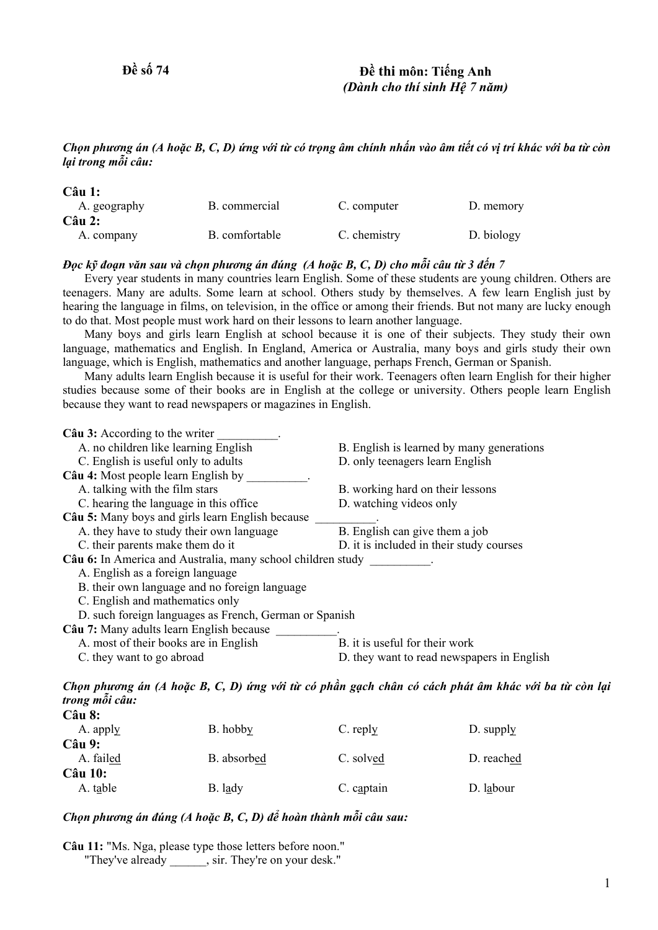# **Đề số 74 Đề thi môn: Tiếng Anh**  *(Dành cho thí sinh Hệ 7 năm)*

### Chọn phương án (A hoặc B, C, D) ứng với từ có trọng âm chính nhấn vào âm tiết có vị trí khác với ba từ còn *lại trong mỗi câu:*

| $C\hat{a}u$ 1: |                |              |            |
|----------------|----------------|--------------|------------|
| A. geography   | B. commercial  | C. computer  | D. memory  |
| $C\hat{a}u$ 2: |                |              |            |
| A. company     | B. comfortable | C. chemistry | D. biology |

## Đọc kỹ đoạn văn sau và chọn phương án đúng (A hoặc B, C, D) cho mỗi câu từ 3 đến 7

 Every year students in many countries learn English. Some of these students are young children. Others are teenagers. Many are adults. Some learn at school. Others study by themselves. A few learn English just by hearing the language in films, on television, in the office or among their friends. But not many are lucky enough to do that. Most people must work hard on their lessons to learn another language.

 Many boys and girls learn English at school because it is one of their subjects. They study their own language, mathematics and English. In England, America or Australia, many boys and girls study their own language, which is English, mathematics and another language, perhaps French, German or Spanish.

 Many adults learn English because it is useful for their work. Teenagers often learn English for their higher studies because some of their books are in English at the college or university. Others people learn English because they want to read newspapers or magazines in English.

| Câu 3: According to the writer                              |                                            |  |  |  |
|-------------------------------------------------------------|--------------------------------------------|--|--|--|
| A. no children like learning English                        | B. English is learned by many generations  |  |  |  |
| C. English is useful only to adults                         | D. only teenagers learn English            |  |  |  |
| Câu 4: Most people learn English by                         |                                            |  |  |  |
| A. talking with the film stars                              | B. working hard on their lessons           |  |  |  |
| C. hearing the language in this office                      | D. watching videos only                    |  |  |  |
| Câu 5: Many boys and girls learn English because            |                                            |  |  |  |
| A, they have to study their own language                    | B. English can give them a job             |  |  |  |
| C. their parents make them do it                            | D. it is included in their study courses   |  |  |  |
| Câu 6: In America and Australia, many school children study |                                            |  |  |  |
| A. English as a foreign language                            |                                            |  |  |  |
| B. their own language and no foreign language               |                                            |  |  |  |
| C. English and mathematics only                             |                                            |  |  |  |
| D. such foreign languages as French, German or Spanish      |                                            |  |  |  |
| Câu 7: Many adults learn English because                    |                                            |  |  |  |
| A. most of their books are in English                       | B, it is useful for their work             |  |  |  |
| C. they want to go abroad                                   | D. they want to read newspapers in English |  |  |  |
|                                                             |                                            |  |  |  |

Chọn phương án (A hoặc B, C, D) ứng với từ có phần gạch chân có cách phát âm khác với ba từ còn lại *trong mỗi câu:*  **Câu 8:**

| vaa v.          |             |            |            |
|-----------------|-------------|------------|------------|
| A. apply        | B. hobby    | $C.$ reply | D. supply  |
| $C\hat{a}$ u 9: |             |            |            |
| A. failed       | B. absorbed | C. solved  | D. reached |
| <b>Câu 10:</b>  |             |            |            |
| A. table        | B. lady     | C. captain | D. labour  |
|                 |             |            |            |

# *Chọn phương án đúng (A hoặc B, C, D) để hoàn thành mỗi câu sau:*

**Câu 11:** "Ms. Nga, please type those letters before noon." "They've already \_\_\_\_\_\_, sir. They're on your desk."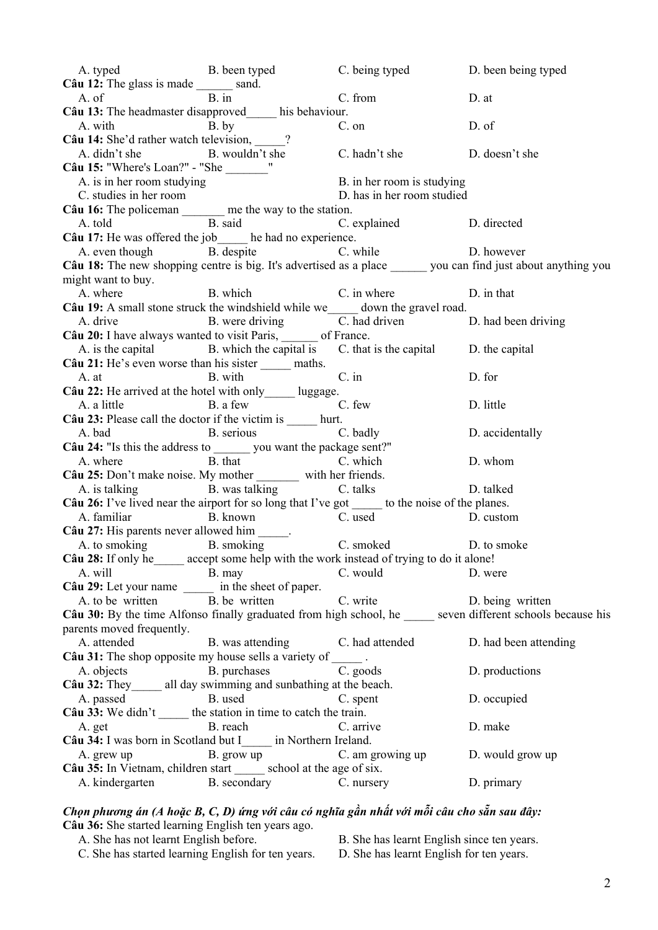A. typed B. been typed C. being typed D. been being typed Câu 12: The glass is made \_\_\_\_\_\_ sand. A. of B. in C. from D. at **Câu 13:** The headmaster disapproved\_\_\_\_\_ his behaviour. A. with B. by C. on D. of **Câu 14:** She'd rather watch television, <br>A. didn't she <br>B. wouldn't she A. didn't she B. wouldn't she C. hadn't she D. doesn't she **Câu 15:** "Where's Loan?" - "She \_\_\_\_\_\_\_" A. is in her room studying B. in her room is studying C. studies in her room D. has in her room studied **Câu 16:** The policeman \_\_\_\_\_\_\_ me the way to the station. A. told B. said C. explained D. directed **Câu 17:** He was offered the job $\frac{1}{\text{B}}$  he had no experience.<br>A even though  $\frac{1}{\text{B}}$  despite  $\frac{1}{\text{C}}$  w A. even though B. despite C. while D. however **Câu 18:** The new shopping centre is big. It's advertised as a place you can find just about anything you might want to buy. A. where B. which C. in where D. in that **Câu 19:** A small stone struck the windshield while we down the gravel road. A drive B. were driving C. had driven A. drive B. were driving C. had driven D. had been driving **Câu 20:** I have always wanted to visit Paris, \_\_\_\_\_\_ of France. A. is the capital B. which the capital is C. that is the capital D. the capital **Câu 21:** He's even worse than his sister maths. A. at B. with C. in D. for **Câu 22:** He arrived at the hotel with only luggage. A. a little B. a few C. few D. little **Câu 23:** Please call the doctor if the victim is hurt. A. bad B. serious C. badly D. accidentally **Câu 24:** "Is this the address to you want the package sent?" A. where B. that C. which D. whom **Câu 25:** Don't make noise. My mother \_\_\_\_\_\_\_ with her friends. A. is talking B. was talking C. talks D. talked **Câu 26:** I've lived near the airport for so long that I've got to the noise of the planes. A. familiar B. known C. used D. custom Câu 27: His parents never allowed him A. to smoking B. smoking B. smoking C. smoked D. to smoke **Câu 28:** If only he\_\_\_\_\_ accept some help with the work instead of trying to do it alone! A. will B. may C. would D. were **Câu 29:** Let your name  $\frac{ }{ }$  in the sheet of paper.<br>A. to be written B. be written A. to be written B. be written C. write D. being written **Câu 30:** By the time Alfonso finally graduated from high school, he seven different schools because his parents moved frequently. A. attended B. was attending C. had attended D. had been attending Câu 31: The shop opposite my house sells a variety of \_\_\_\_\_\_. A. objects B. purchases C. goods D. productions **Câu 32:** They all day swimming and sunbathing at the beach. A. passed B. used C. spent D. occupied **Câu 33:** We didn't the station in time to catch the train. A. get B. reach C. arrive D. make **Câu 34:** I was born in Scotland but I\_\_\_\_\_ in Northern Ireland. A. grew up B. grow up B. grow up C. am growing up D. would grow up **Câu 35:** In Vietnam, children start school at the age of six. A. kindergarten B. secondary C. nursery D. primary

#### Chọn phương án (A hoặc B, C, D) ứng với câu có nghĩa gần nhất với mỗi câu cho sẵn sau đây: **Câu 36:** She started learning English ten years ago.

- C. She has started learning English for ten years. D. She has learnt English for ten years.
- A. She has not learnt English before. B. She has learnt English since ten years.
	-